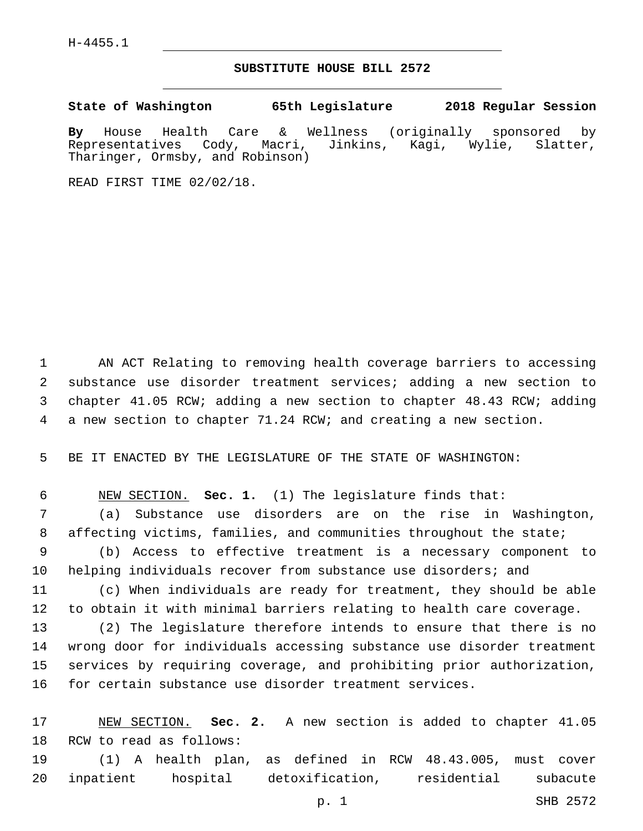H-4455.1

## **SUBSTITUTE HOUSE BILL 2572**

**State of Washington 65th Legislature 2018 Regular Session**

**By** House Health Care & Wellness (originally sponsored by Representatives Cody, Macri, Jinkins, Kagi, Wylie, Slatter, Tharinger, Ormsby, and Robinson)

READ FIRST TIME 02/02/18.

 AN ACT Relating to removing health coverage barriers to accessing substance use disorder treatment services; adding a new section to chapter 41.05 RCW; adding a new section to chapter 48.43 RCW; adding a new section to chapter 71.24 RCW; and creating a new section.

BE IT ENACTED BY THE LEGISLATURE OF THE STATE OF WASHINGTON:

 NEW SECTION. **Sec. 1.** (1) The legislature finds that: (a) Substance use disorders are on the rise in Washington, affecting victims, families, and communities throughout the state; (b) Access to effective treatment is a necessary component to

10 helping individuals recover from substance use disorders; and

 (c) When individuals are ready for treatment, they should be able to obtain it with minimal barriers relating to health care coverage.

 (2) The legislature therefore intends to ensure that there is no wrong door for individuals accessing substance use disorder treatment services by requiring coverage, and prohibiting prior authorization, for certain substance use disorder treatment services.

 NEW SECTION. **Sec. 2.** A new section is added to chapter 41.05 18 RCW to read as follows:

 (1) A health plan, as defined in RCW 48.43.005, must cover inpatient hospital detoxification, residential subacute

p. 1 SHB 2572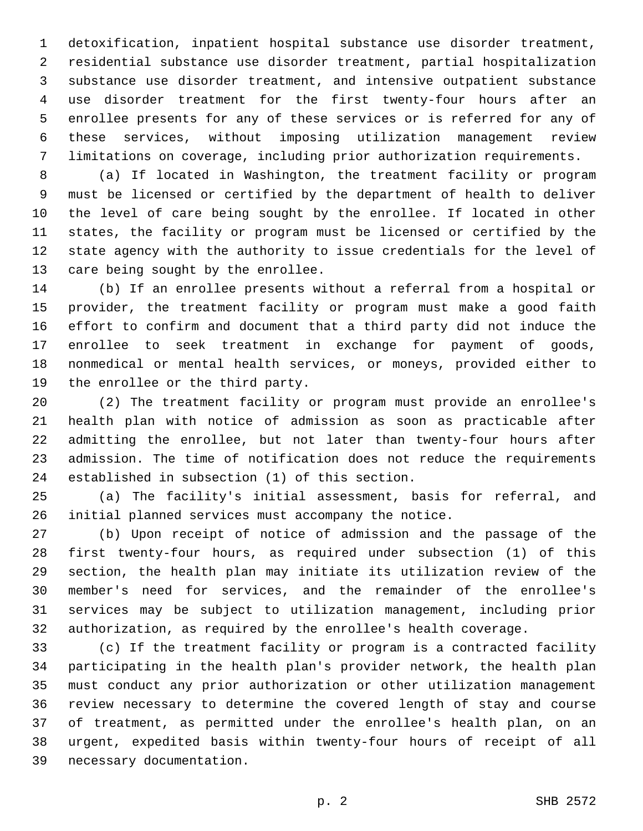detoxification, inpatient hospital substance use disorder treatment, residential substance use disorder treatment, partial hospitalization substance use disorder treatment, and intensive outpatient substance use disorder treatment for the first twenty-four hours after an enrollee presents for any of these services or is referred for any of these services, without imposing utilization management review limitations on coverage, including prior authorization requirements.

 (a) If located in Washington, the treatment facility or program must be licensed or certified by the department of health to deliver the level of care being sought by the enrollee. If located in other states, the facility or program must be licensed or certified by the state agency with the authority to issue credentials for the level of 13 care being sought by the enrollee.

 (b) If an enrollee presents without a referral from a hospital or provider, the treatment facility or program must make a good faith effort to confirm and document that a third party did not induce the enrollee to seek treatment in exchange for payment of goods, nonmedical or mental health services, or moneys, provided either to 19 the enrollee or the third party.

 (2) The treatment facility or program must provide an enrollee's health plan with notice of admission as soon as practicable after admitting the enrollee, but not later than twenty-four hours after admission. The time of notification does not reduce the requirements 24 established in subsection (1) of this section.

 (a) The facility's initial assessment, basis for referral, and initial planned services must accompany the notice.

 (b) Upon receipt of notice of admission and the passage of the first twenty-four hours, as required under subsection (1) of this section, the health plan may initiate its utilization review of the member's need for services, and the remainder of the enrollee's services may be subject to utilization management, including prior authorization, as required by the enrollee's health coverage.

 (c) If the treatment facility or program is a contracted facility participating in the health plan's provider network, the health plan must conduct any prior authorization or other utilization management review necessary to determine the covered length of stay and course of treatment, as permitted under the enrollee's health plan, on an urgent, expedited basis within twenty-four hours of receipt of all 39 necessary documentation.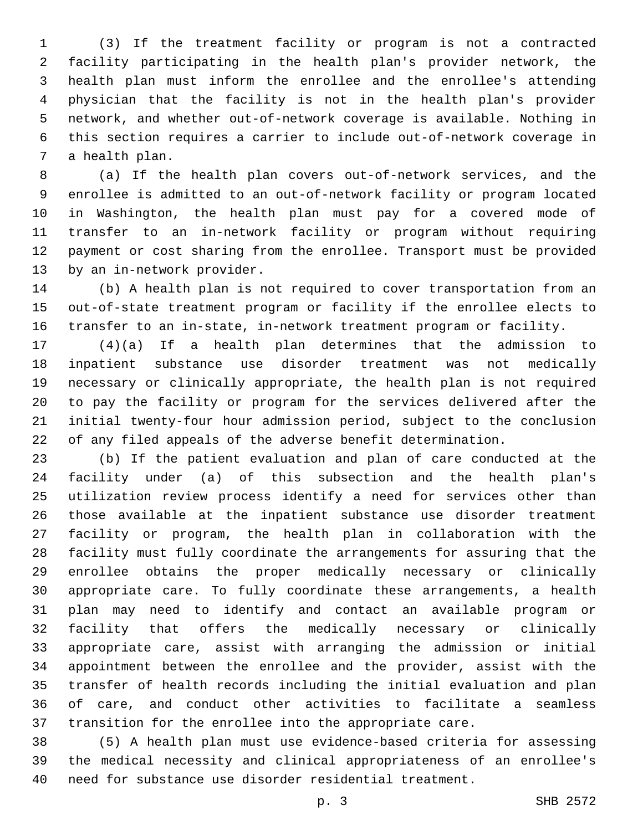(3) If the treatment facility or program is not a contracted facility participating in the health plan's provider network, the health plan must inform the enrollee and the enrollee's attending physician that the facility is not in the health plan's provider network, and whether out-of-network coverage is available. Nothing in this section requires a carrier to include out-of-network coverage in 7 a health plan.

 (a) If the health plan covers out-of-network services, and the enrollee is admitted to an out-of-network facility or program located in Washington, the health plan must pay for a covered mode of transfer to an in-network facility or program without requiring payment or cost sharing from the enrollee. Transport must be provided 13 by an in-network provider.

 (b) A health plan is not required to cover transportation from an out-of-state treatment program or facility if the enrollee elects to transfer to an in-state, in-network treatment program or facility.

 (4)(a) If a health plan determines that the admission to inpatient substance use disorder treatment was not medically necessary or clinically appropriate, the health plan is not required to pay the facility or program for the services delivered after the initial twenty-four hour admission period, subject to the conclusion of any filed appeals of the adverse benefit determination.

 (b) If the patient evaluation and plan of care conducted at the facility under (a) of this subsection and the health plan's utilization review process identify a need for services other than those available at the inpatient substance use disorder treatment facility or program, the health plan in collaboration with the facility must fully coordinate the arrangements for assuring that the enrollee obtains the proper medically necessary or clinically appropriate care. To fully coordinate these arrangements, a health plan may need to identify and contact an available program or facility that offers the medically necessary or clinically appropriate care, assist with arranging the admission or initial appointment between the enrollee and the provider, assist with the transfer of health records including the initial evaluation and plan of care, and conduct other activities to facilitate a seamless transition for the enrollee into the appropriate care.

 (5) A health plan must use evidence-based criteria for assessing the medical necessity and clinical appropriateness of an enrollee's need for substance use disorder residential treatment.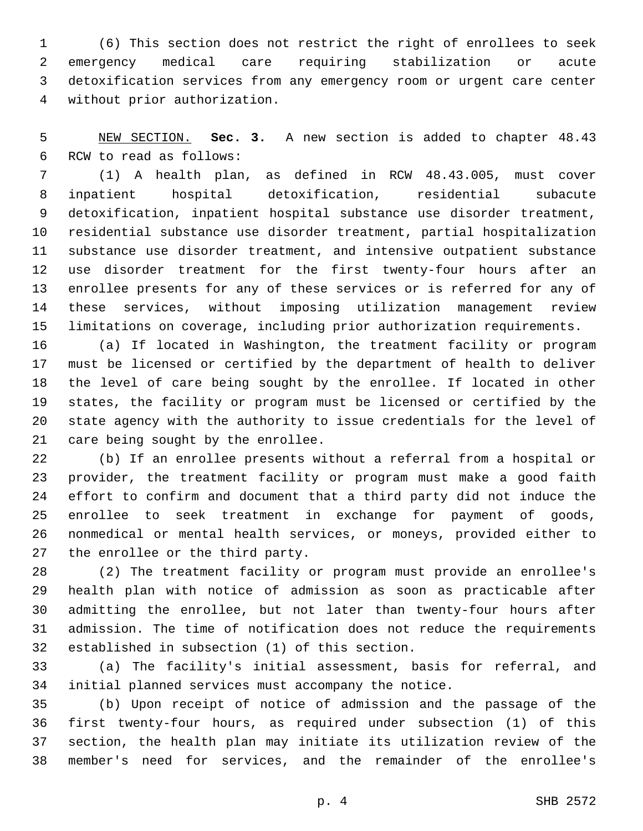(6) This section does not restrict the right of enrollees to seek emergency medical care requiring stabilization or acute detoxification services from any emergency room or urgent care center 4 without prior authorization.

 NEW SECTION. **Sec. 3.** A new section is added to chapter 48.43 6 RCW to read as follows:

 (1) A health plan, as defined in RCW 48.43.005, must cover inpatient hospital detoxification, residential subacute detoxification, inpatient hospital substance use disorder treatment, residential substance use disorder treatment, partial hospitalization substance use disorder treatment, and intensive outpatient substance use disorder treatment for the first twenty-four hours after an enrollee presents for any of these services or is referred for any of these services, without imposing utilization management review limitations on coverage, including prior authorization requirements.

 (a) If located in Washington, the treatment facility or program must be licensed or certified by the department of health to deliver the level of care being sought by the enrollee. If located in other states, the facility or program must be licensed or certified by the state agency with the authority to issue credentials for the level of 21 care being sought by the enrollee.

 (b) If an enrollee presents without a referral from a hospital or provider, the treatment facility or program must make a good faith effort to confirm and document that a third party did not induce the enrollee to seek treatment in exchange for payment of goods, nonmedical or mental health services, or moneys, provided either to 27 the enrollee or the third party.

 (2) The treatment facility or program must provide an enrollee's health plan with notice of admission as soon as practicable after admitting the enrollee, but not later than twenty-four hours after admission. The time of notification does not reduce the requirements 32 established in subsection (1) of this section.

 (a) The facility's initial assessment, basis for referral, and initial planned services must accompany the notice.

 (b) Upon receipt of notice of admission and the passage of the first twenty-four hours, as required under subsection (1) of this section, the health plan may initiate its utilization review of the member's need for services, and the remainder of the enrollee's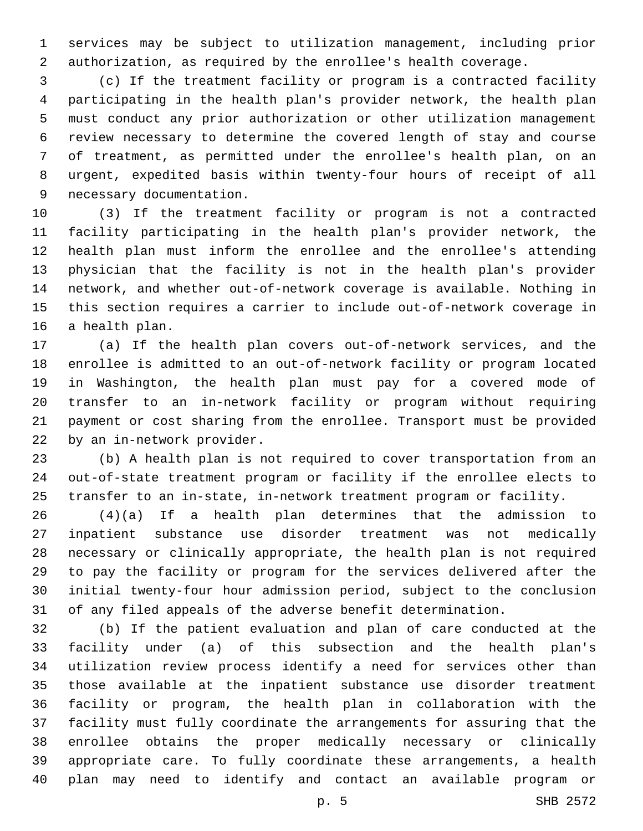services may be subject to utilization management, including prior authorization, as required by the enrollee's health coverage.

 (c) If the treatment facility or program is a contracted facility participating in the health plan's provider network, the health plan must conduct any prior authorization or other utilization management review necessary to determine the covered length of stay and course of treatment, as permitted under the enrollee's health plan, on an urgent, expedited basis within twenty-four hours of receipt of all 9 necessary documentation.

 (3) If the treatment facility or program is not a contracted facility participating in the health plan's provider network, the health plan must inform the enrollee and the enrollee's attending physician that the facility is not in the health plan's provider network, and whether out-of-network coverage is available. Nothing in this section requires a carrier to include out-of-network coverage in 16 a health plan.

 (a) If the health plan covers out-of-network services, and the enrollee is admitted to an out-of-network facility or program located in Washington, the health plan must pay for a covered mode of transfer to an in-network facility or program without requiring payment or cost sharing from the enrollee. Transport must be provided 22 by an in-network provider.

 (b) A health plan is not required to cover transportation from an out-of-state treatment program or facility if the enrollee elects to transfer to an in-state, in-network treatment program or facility.

 (4)(a) If a health plan determines that the admission to inpatient substance use disorder treatment was not medically necessary or clinically appropriate, the health plan is not required to pay the facility or program for the services delivered after the initial twenty-four hour admission period, subject to the conclusion of any filed appeals of the adverse benefit determination.

 (b) If the patient evaluation and plan of care conducted at the facility under (a) of this subsection and the health plan's utilization review process identify a need for services other than those available at the inpatient substance use disorder treatment facility or program, the health plan in collaboration with the facility must fully coordinate the arrangements for assuring that the enrollee obtains the proper medically necessary or clinically appropriate care. To fully coordinate these arrangements, a health plan may need to identify and contact an available program or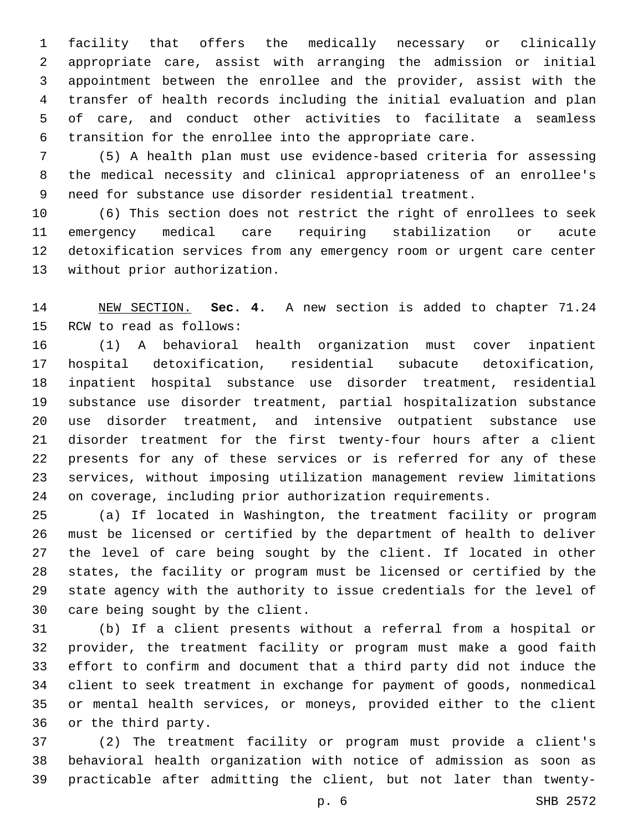facility that offers the medically necessary or clinically appropriate care, assist with arranging the admission or initial appointment between the enrollee and the provider, assist with the transfer of health records including the initial evaluation and plan of care, and conduct other activities to facilitate a seamless transition for the enrollee into the appropriate care.

 (5) A health plan must use evidence-based criteria for assessing the medical necessity and clinical appropriateness of an enrollee's need for substance use disorder residential treatment.

 (6) This section does not restrict the right of enrollees to seek emergency medical care requiring stabilization or acute detoxification services from any emergency room or urgent care center 13 without prior authorization.

 NEW SECTION. **Sec. 4.** A new section is added to chapter 71.24 15 RCW to read as follows:

 (1) A behavioral health organization must cover inpatient hospital detoxification, residential subacute detoxification, inpatient hospital substance use disorder treatment, residential substance use disorder treatment, partial hospitalization substance use disorder treatment, and intensive outpatient substance use disorder treatment for the first twenty-four hours after a client presents for any of these services or is referred for any of these services, without imposing utilization management review limitations on coverage, including prior authorization requirements.

 (a) If located in Washington, the treatment facility or program must be licensed or certified by the department of health to deliver the level of care being sought by the client. If located in other states, the facility or program must be licensed or certified by the state agency with the authority to issue credentials for the level of 30 care being sought by the client.

 (b) If a client presents without a referral from a hospital or provider, the treatment facility or program must make a good faith effort to confirm and document that a third party did not induce the client to seek treatment in exchange for payment of goods, nonmedical or mental health services, or moneys, provided either to the client 36 or the third party.

 (2) The treatment facility or program must provide a client's behavioral health organization with notice of admission as soon as practicable after admitting the client, but not later than twenty-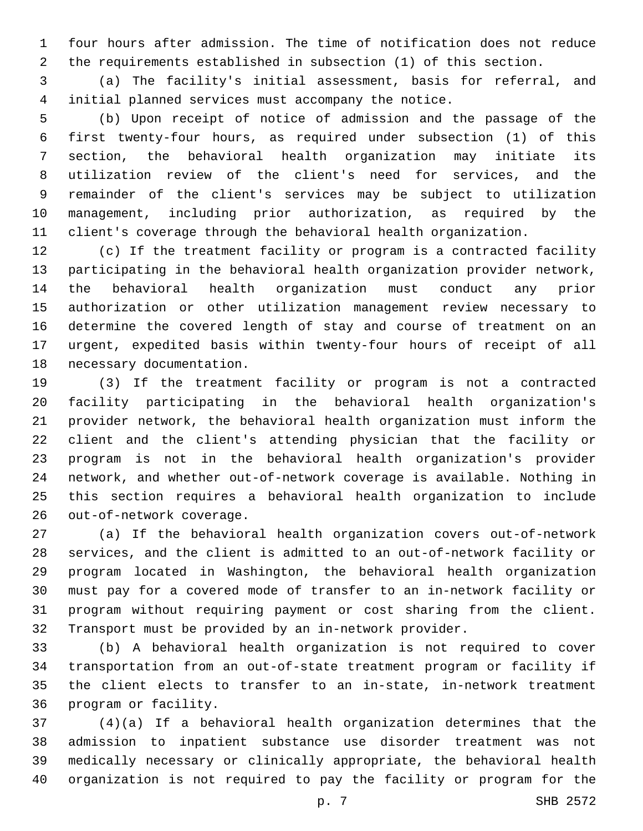four hours after admission. The time of notification does not reduce the requirements established in subsection (1) of this section.

 (a) The facility's initial assessment, basis for referral, and initial planned services must accompany the notice.

 (b) Upon receipt of notice of admission and the passage of the first twenty-four hours, as required under subsection (1) of this section, the behavioral health organization may initiate its utilization review of the client's need for services, and the remainder of the client's services may be subject to utilization management, including prior authorization, as required by the client's coverage through the behavioral health organization.

 (c) If the treatment facility or program is a contracted facility participating in the behavioral health organization provider network, the behavioral health organization must conduct any prior authorization or other utilization management review necessary to determine the covered length of stay and course of treatment on an urgent, expedited basis within twenty-four hours of receipt of all 18 necessary documentation.

 (3) If the treatment facility or program is not a contracted facility participating in the behavioral health organization's provider network, the behavioral health organization must inform the client and the client's attending physician that the facility or program is not in the behavioral health organization's provider network, and whether out-of-network coverage is available. Nothing in this section requires a behavioral health organization to include 26 out-of-network coverage.

 (a) If the behavioral health organization covers out-of-network services, and the client is admitted to an out-of-network facility or program located in Washington, the behavioral health organization must pay for a covered mode of transfer to an in-network facility or program without requiring payment or cost sharing from the client. Transport must be provided by an in-network provider.

 (b) A behavioral health organization is not required to cover transportation from an out-of-state treatment program or facility if the client elects to transfer to an in-state, in-network treatment 36 program or facility.

 (4)(a) If a behavioral health organization determines that the admission to inpatient substance use disorder treatment was not medically necessary or clinically appropriate, the behavioral health organization is not required to pay the facility or program for the

p. 7 SHB 2572